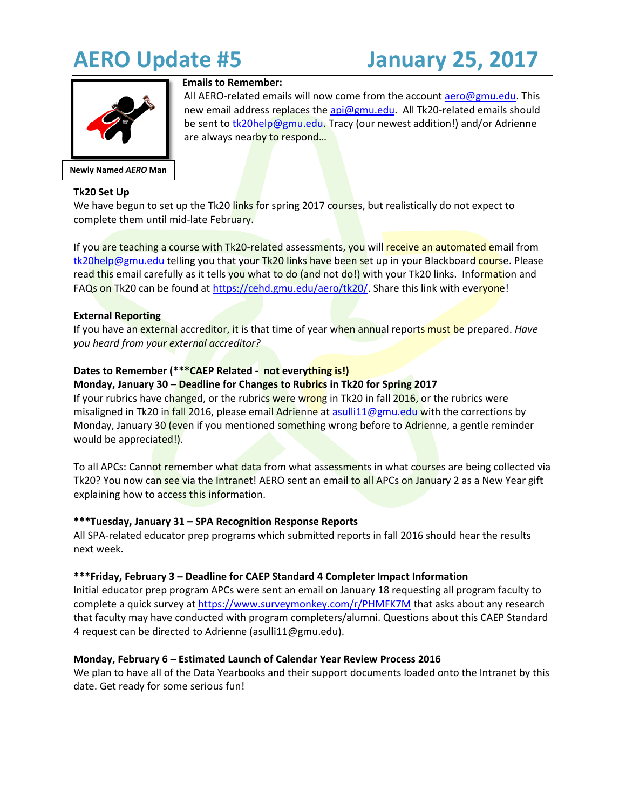

**Newly Named** *AERO* **Man**

# **Emails to Remember:**

All AERO-related emails will now come from the account [aero@gmu.edu.](mailto:aero@gmu.edu) This new email address replaces the [api@gmu.edu.](mailto:api@gmu.edu) All Tk20-related emails should be sent t[o tk20help@gmu.edu.](mailto:tk20help@gmu.edu) Tracy (our newest addition!) and/or Adrienne are always nearby to respond...

# **Tk20 Set Up**

We have begun to set up the Tk20 links for spring 2017 courses, but realistically do not expect to complete them until mid-late February.

If you are teaching a course with Tk20-related assessments, you will receive an automated email from [tk20help@gmu.edu](mailto:tk20help@gmu.edu) telling you that your Tk20 links have been set up in your Blackboard course. Please read this email carefully as it tells you what to do (and not do!) with your Tk20 links. Information and FAQs on Tk20 can be found at [https://cehd.gmu.edu/aero/tk20/.](https://cehd.gmu.edu/aero/tk20/) Share this link with everyone!

## **External Reporting**

If you have an external accreditor, it is that time of year when annual reports must be prepared. *Have you heard from your external accreditor?* 

# **Dates to Remember (\*\*\*CAEP Related - not everything is!)**

#### **Monday, January 30 – Deadline for Changes to Rubrics in Tk20 for Spring 2017**

If your rubrics have changed, or the rubrics were wrong in Tk20 in fall 2016, or the rubrics were misaligned in Tk20 in fall 2016, please email Adrienne at [asulli11@gmu.edu](mailto:asulli11@gmu.edu) with the corrections by Monday, January 30 (even if you mentioned something wrong before to Adrienne, a gentle reminder would be appreciated!).

To all APCs: Cannot remember what data from what assessments in what courses are being collected via Tk20? You now can see via the Intranet! AERO sent an email to all APCs on January 2 as a New Year gift explaining how to access this information.

### **\*\*\*Tuesday, January 31 – SPA Recognition Response Reports**

All SPA-related educator prep programs which submitted reports in fall 2016 should hear the results next week.

### **\*\*\*Friday, February 3 – Deadline for CAEP Standard 4 Completer Impact Information**

Initial educator prep program APCs were sent an email on January 18 requesting all program faculty to complete a quick survey at<https://www.surveymonkey.com/r/PHMFK7M> that asks about any research that faculty may have conducted with program completers/alumni. Questions about this CAEP Standard 4 request can be directed to Adrienne (asulli11@gmu.edu).

### **Monday, February 6 – Estimated Launch of Calendar Year Review Process 2016**

We plan to have all of the Data Yearbooks and their support documents loaded onto the Intranet by this date. Get ready for some serious fun!